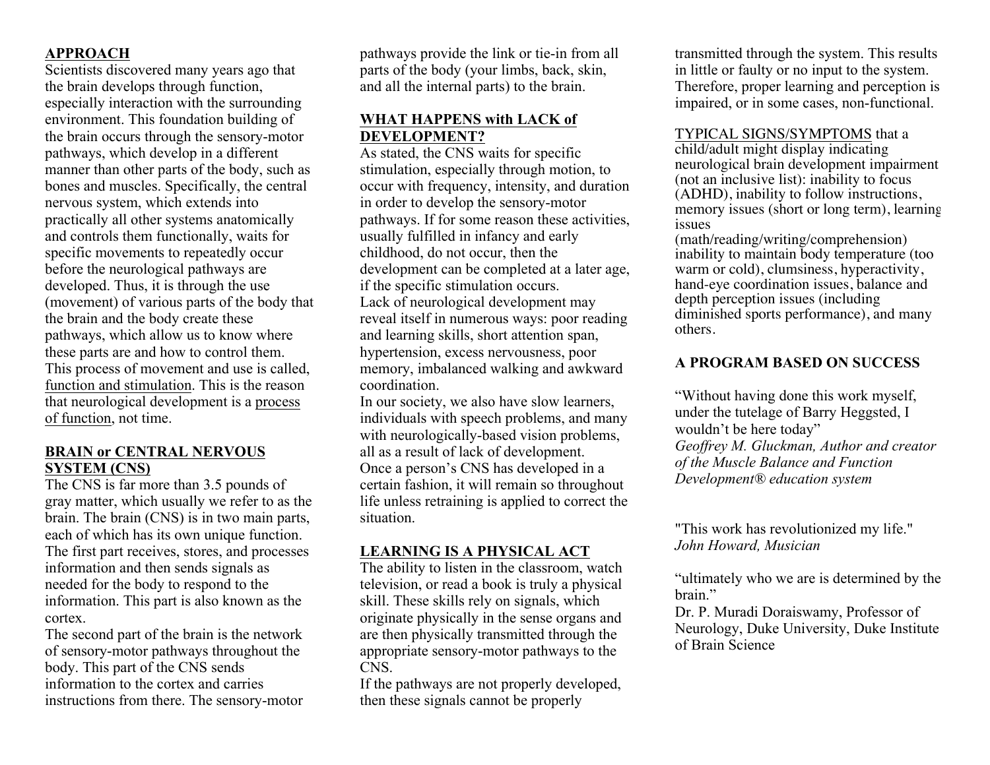# **APPROACH**

Scientists discovered many years ago that the brain develops through function, especially interaction with the surrounding environment. This foundation building of the brain occurs through the sensory-motor pathways, which develop in a different manner than other parts of the body, such as bones and muscles. Specifically, the central nervous system, which extends into practically all other systems anatomically and controls them functionally, waits for specific movements to repeatedly occur before the neurological pathways are developed. Thus, it is through the use (movement) of various parts of the body that the brain and the body create these pathways, which allow us to know where these parts are and how to control them. This process of movement and use is called, function and stimulation. This is the reason that neurological development is a process of function, not time.

### **BRAIN or CENTRAL NERVOUS SYSTEM (CNS)**

The CNS is far more than 3.5 pounds of gray matter, which usually we refer to as the brain. The brain (CNS) is in two main parts, each of which has its own unique function. The first part receives, stores, and processes information and then sends signals as needed for the body to respond to the information. This part is also known as the cortex.

The second part of the brain is the network of sensory-motor pathways throughout the body. This part of the CNS sends information to the cortex and carries instructions from there. The sensory-motor pathways provide the link or tie-in from all parts of the body (your limbs, back, skin, and all the internal parts) to the brain.

## **WHAT HAPPENS with LACK of DEVELOPMENT?**

As stated, the CNS waits for specific stimulation, especially through motion, to occur with frequency, intensity, and duration in order to develop the sensory-motor pathways. If for some reason these activities, usually fulfilled in infancy and early childhood, do not occur, then the development can be completed at a later age, if the specific stimulation occurs. Lack of neurological development may reveal itself in numerous ways: poor reading and learning skills, short attention span, hypertension, excess nervousness, poor memory, imbalanced walking and awkward coordination.

In our society, we also have slow learners, individuals with speech problems, and many with neurologically-based vision problems, all as a result of lack of development. Once a person's CNS has developed in a certain fashion, it will remain so throughout life unless retraining is applied to correct the situation.

#### **LEARNING IS A PHYSICAL ACT**

The ability to listen in the classroom, watch television, or read a book is truly a physical skill. These skills rely on signals, which originate physically in the sense organs and are then physically transmitted through the appropriate sensory-motor pathways to the CNS.

If the pathways are not properly developed, then these signals cannot be properly

transmitted through the system. This results in little or faulty or no input to the system. Therefore, proper learning and perception is impaired, or in some cases, non-functional.

#### TYPICAL SIGNS/SYMPTOMS that a

child/adult might display indicating neurological brain development impairment (not an inclusive list): inability to focus (ADHD), inability to follow instructions, memory issues (short or long term), learning issues

(math/reading/writing/comprehension) inability to maintain body temperature (too warm or cold), clumsiness, hyperactivity, hand-eye coordination issues, balance and depth perception issues (including diminished sports performance), and many others.

#### **A PROGRAM BASED ON SUCCESS**

"Without having done this work myself, under the tutelage of Barry Heggsted, I wouldn't be here today" *Geoffrey M. Gluckman, Author and creator of the Muscle Balance and Function Development® education system*

"This work has revolutionized my life." *John Howard, Musician*

"ultimately who we are is determined by the hrain"

Dr. P. Muradi Doraiswamy, Professor of Neurology, Duke University, Duke Institute of Brain Science